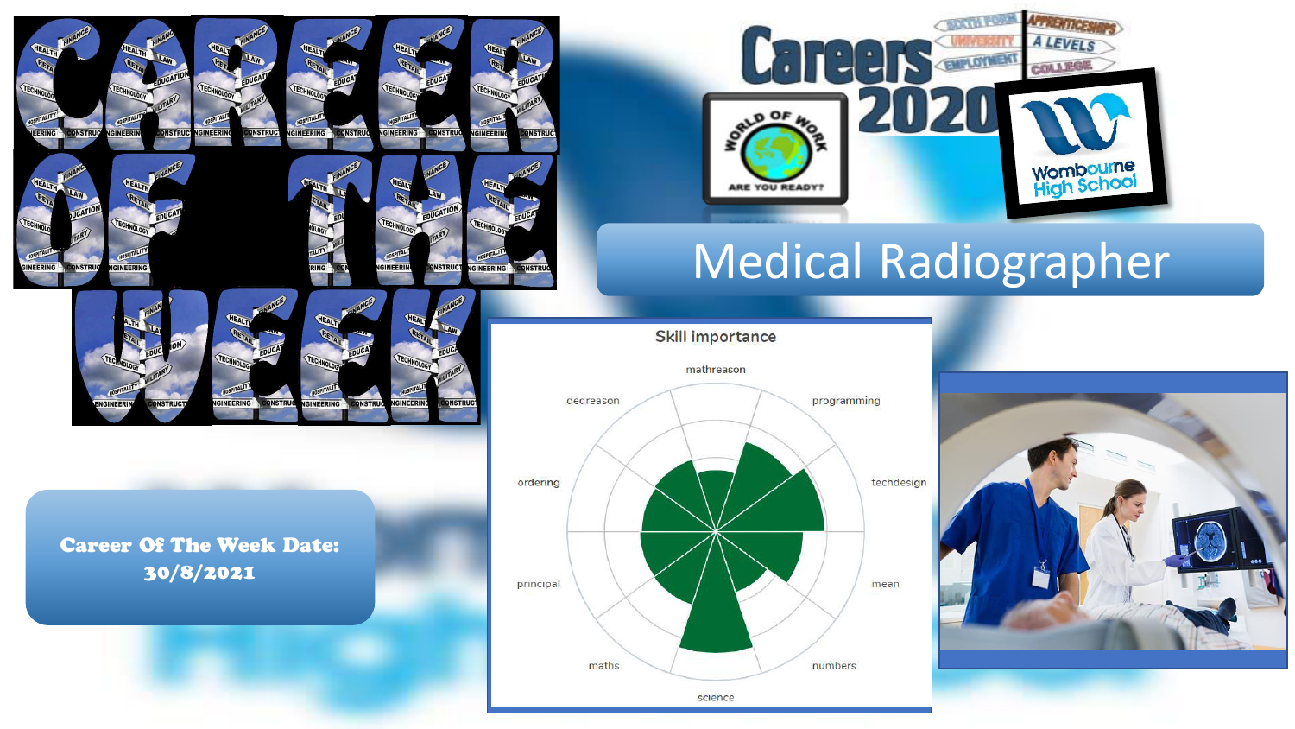

GINEERING

**INSTRU** 

Career Of The Week Date: 30/8/2021

**DNSTRUG** 

### **SOLUM PO A LEVELS**  $\cdot$   $\cdot$ **EMPLOYMENT COLLEGE**  $\overline{A}$ **Wombourne**<br>High School ARE YOU READY!

# Medical Radiographer

**Skill importance** 



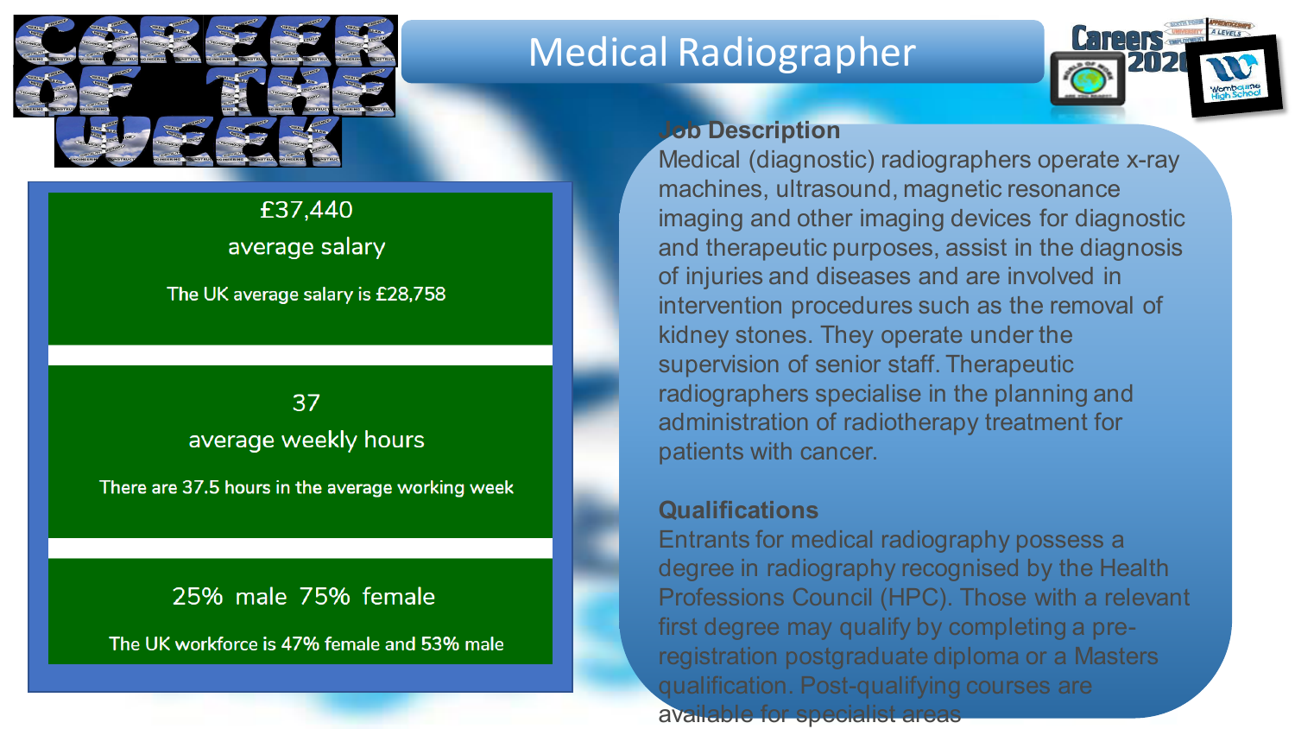

# Medical Radiographer



# £37,440 average salary

### The UK average salary is £28,758

### 37 Insert avg salary, weekly hours and male/female workforce workforce with interesting the stories of the stories of the stories of the stories of the stories o

There are 37.5 hours in the average working week

## 25% male 75% female

The UK workforce is 47% female and 53% male

### **Job Description**

Medical (diagnostic) radiographers operate x-ray machines, ultrasound, magnetic resonance imaging and other imaging devices for diagnostic and therapeutic purposes, assist in the diagnosis of injuries and diseases and are involved in intervention procedures such as the removal of kidney stones. They operate under the supervision of senior staff. Therapeutic radiographers specialise in the planning and administration of radiotherapy treatment for patients with cancer.

### **Qualifications**

Entrants for medical radiography possess a degree in radiography recognised by the Health Professions Council (HPC). Those with a relevant first degree may qualify by completing a preregistration postgraduate diploma or a Masters qualification. Post-qualifying courses are available for specialist areas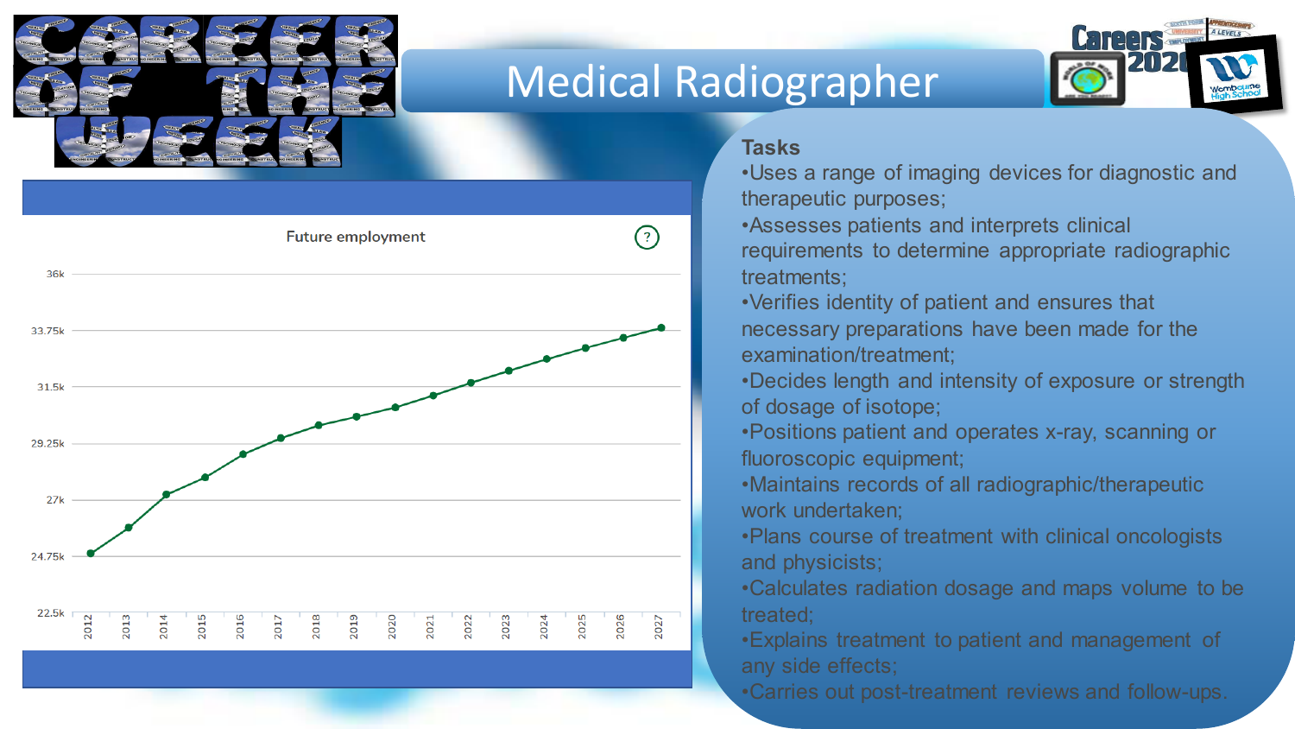

# Medical Radiographer



#### **Tasks**

- •Uses a range of imaging devices for diagnostic and therapeutic purposes;
- •Assesses patients and interprets clinical requirements to determine appropriate radiographic treatments;
- •Verifies identity of patient and ensures that necessary preparations have been made for the examination/treatment;
- •Decides length and intensity of exposure or strength of dosage of isotope;
- •Positions patient and operates x-ray, scanning or fluoroscopic equipment;
- •Maintains records of all radiographic/therapeutic work undertaken;
- •Plans course of treatment with clinical oncologists and physicists;
- •Calculates radiation dosage and maps volume to be treated;
- •Explains treatment to patient and management of any side effects;
- •Carries out post-treatment reviews and follow-ups.